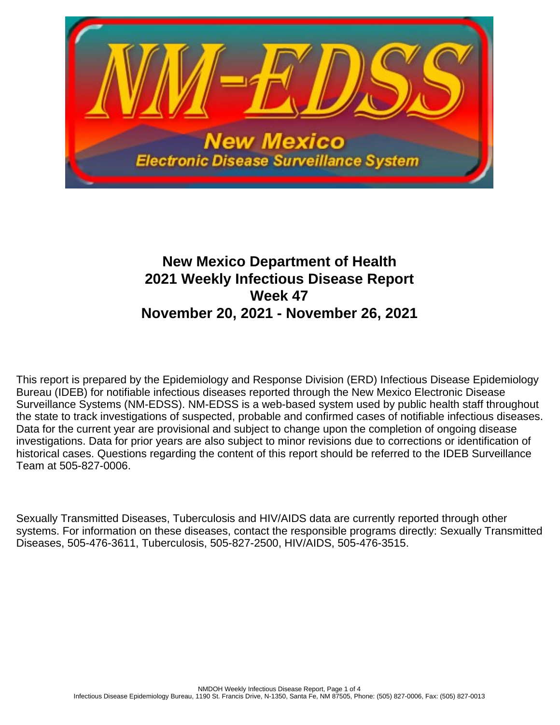

# **New Mexico Department of Health 2021 Weekly Infectious Disease Report Week 47 November 20, 2021 - November 26, 2021**

This report is prepared by the Epidemiology and Response Division (ERD) Infectious Disease Epidemiology Bureau (IDEB) for notifiable infectious diseases reported through the New Mexico Electronic Disease Surveillance Systems (NM-EDSS). NM-EDSS is a web-based system used by public health staff throughout the state to track investigations of suspected, probable and confirmed cases of notifiable infectious diseases. Data for the current year are provisional and subject to change upon the completion of ongoing disease investigations. Data for prior years are also subject to minor revisions due to corrections or identification of historical cases. Questions regarding the content of this report should be referred to the IDEB Surveillance Team at 505-827-0006.

Sexually Transmitted Diseases, Tuberculosis and HIV/AIDS data are currently reported through other systems. For information on these diseases, contact the responsible programs directly: Sexually Transmitted Diseases, 505-476-3611, Tuberculosis, 505-827-2500, HIV/AIDS, 505-476-3515.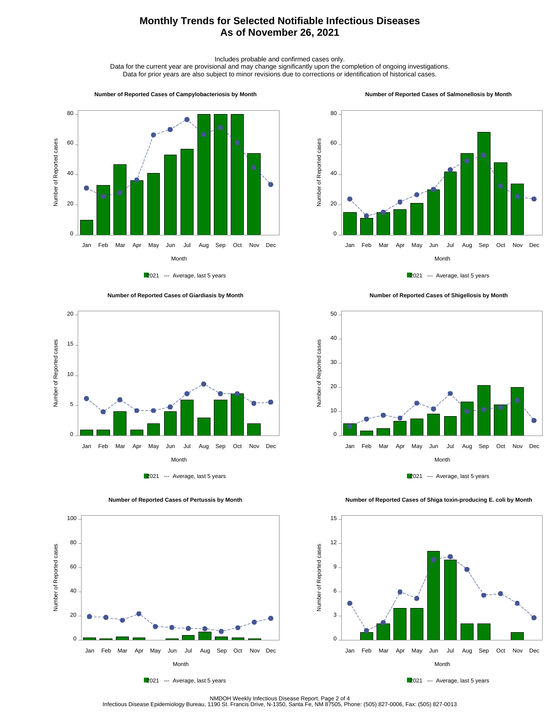## **Monthly Trends for Selected Notifiable Infectious Diseases As of November 26, 2021**

Includes probable and confirmed cases only.

Data for the current year are provisional and may change significantly upon the completion of ongoing investigations. Data for prior years are also subject to minor revisions due to corrections or identification of historical cases.

#### **Number of Reported Cases of Campylobacteriosis by Month**



2021 --- Average, last 5 years





 **Number of Reported Cases of Pertussis by Month**

 **Number of Reported Cases of Salmonellosis by Month**









 **Number of Reported Cases of Shiga toxin-producing E. coli by Month**





NMDOH Weekly Infectious Disease Report, Page 2 of 4<br>Infectious Disease Epidemiology Bureau, 1190 St. Francis Drive, N-1350, Santa Fe, NM 87505, Phone: (505) 827-0006, Fax: (505) 827-0013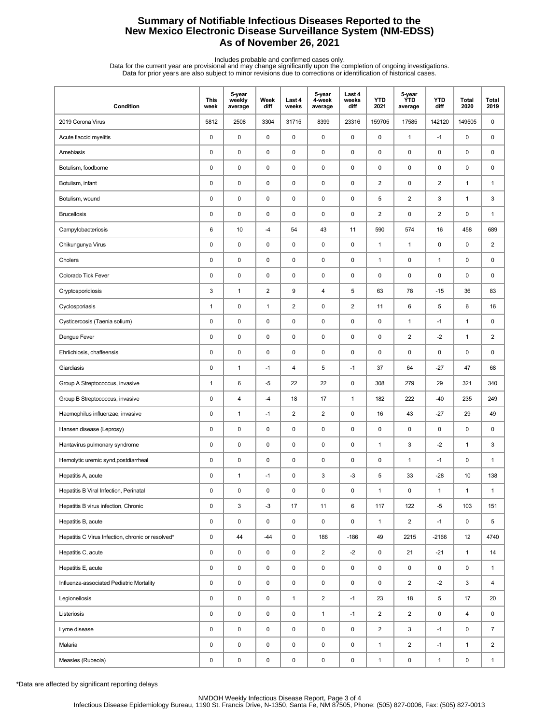## **Summary of Notifiable Infectious Diseases Reported to the New Mexico Electronic Disease Surveillance System (NM-EDSS) As of November 26, 2021**

Includes probable and confirmed cases only.<br>Data for the current year are provisional and may change significantly upon the completion of ongoing investigations.<br>Data for prior years are also subject to minor revisions due

| Condition                                         | <b>This</b><br>week | 5-year<br>weekly<br>average | Week<br>diff   | Last 4<br>weeks | 5-year<br>4-week<br>average | Last 4<br>weeks<br>diff | <b>YTD</b><br>2021 | 5-year<br>ÝTD<br>average | <b>YTD</b><br>diff      | Total<br>2020 | Total<br>2019  |
|---------------------------------------------------|---------------------|-----------------------------|----------------|-----------------|-----------------------------|-------------------------|--------------------|--------------------------|-------------------------|---------------|----------------|
| 2019 Corona Virus                                 | 5812                | 2508                        | 3304           | 31715           | 8399                        | 23316                   | 159705             | 17585                    | 142120                  | 149505        | 0              |
| Acute flaccid myelitis                            | 0                   | $\pmb{0}$                   | $\mathsf 0$    | $\pmb{0}$       | $\mathsf 0$                 | $\mathsf 0$             | 0                  | $\mathbf{1}$             | $-1$                    | 0             | 0              |
| Amebiasis                                         | 0                   | $\mathbf 0$                 | 0              | $\mathbf 0$     | $\pmb{0}$                   | 0                       | 0                  | 0                        | 0                       | 0             | $\mathsf 0$    |
| Botulism, foodborne                               | $\pmb{0}$           | $\pmb{0}$                   | 0              | $\mathbf 0$     | $\pmb{0}$                   | 0                       | $\pmb{0}$          | $\pmb{0}$                | 0                       | 0             | 0              |
| Botulism, infant                                  | $\pmb{0}$           | $\mathbf 0$                 | $\pmb{0}$      | $\mathbf 0$     | 0                           | $\mathsf 0$             | $\boldsymbol{2}$   | $\pmb{0}$                | $\overline{\mathbf{c}}$ | $\mathbf{1}$  | $\mathbf{1}$   |
| Botulism, wound                                   | 0                   | $\mathbf 0$                 | 0              | $\mathbf 0$     | $\pmb{0}$                   | 0                       | 5                  | $\overline{\mathbf{c}}$  | 3                       | $\mathbf{1}$  | 3              |
| <b>Brucellosis</b>                                | 0                   | $\pmb{0}$                   | $\mathsf 0$    | $\pmb{0}$       | $\pmb{0}$                   | $\mathsf 0$             | $\overline{2}$     | $\pmb{0}$                | $\overline{2}$          | 0             | $\mathbf{1}$   |
| Campylobacteriosis                                | 6                   | 10                          | -4             | 54              | 43                          | 11                      | 590                | 574                      | 16                      | 458           | 689            |
| Chikungunya Virus                                 | $\pmb{0}$           | $\pmb{0}$                   | 0              | $\mathbf 0$     | $\pmb{0}$                   | 0                       | $\mathbf{1}$       | $\mathbf{1}$             | 0                       | 0             | $\overline{c}$ |
| Cholera                                           | 0                   | $\mathbf 0$                 | $\pmb{0}$      | $\mathbf 0$     | 0                           | $\mathsf 0$             | $\mathbf{1}$       | $\pmb{0}$                | $\mathbf{1}$            | 0             | 0              |
| Colorado Tick Fever                               | 0                   | $\mathbf 0$                 | 0              | $\mathbf 0$     | 0                           | 0                       | 0                  | 0                        | 0                       | 0             | 0              |
| Cryptosporidiosis                                 | 3                   | $\mathbf{1}$                | $\overline{2}$ | 9               | 4                           | 5                       | 63                 | 78                       | $-15$                   | 36            | 83             |
| Cyclosporiasis                                    | $\mathbf{1}$        | $\mathbf 0$                 | $\mathbf{1}$   | $\sqrt{2}$      | $\pmb{0}$                   | $\mathbf 2$             | 11                 | 6                        | 5                       | 6             | 16             |
| Cysticercosis (Taenia solium)                     | 0                   | $\pmb{0}$                   | 0              | $\mathbf 0$     | $\pmb{0}$                   | $\mathsf 0$             | 0                  | $\mathbf{1}$             | $-1$                    | $\mathbf{1}$  | 0              |
| Dengue Fever                                      | 0                   | $\mathbf 0$                 | $\pmb{0}$      | $\mathbf 0$     | 0                           | $\mathsf 0$             | 0                  | $\overline{c}$           | $-2$                    | $\mathbf{1}$  | $\overline{c}$ |
| Ehrlichiosis, chaffeensis                         | 0                   | $\mathbf 0$                 | 0              | $\mathbf 0$     | 0                           | 0                       | 0                  | 0                        | 0                       | 0             | 0              |
| Giardiasis                                        | 0                   | $\mathbf{1}$                | $-1$           | 4               | 5                           | $-1$                    | 37                 | 64                       | $-27$                   | 47            | 68             |
| Group A Streptococcus, invasive                   | $\mathbf{1}$        | 6                           | $-5$           | 22              | 22                          | $\pmb{0}$               | 308                | 279                      | 29                      | 321           | 340            |
| Group B Streptococcus, invasive                   | 0                   | $\overline{4}$              | $-4$           | 18              | 17                          | $\mathbf{1}$            | 182                | 222                      | $-40$                   | 235           | 249            |
| Haemophilus influenzae, invasive                  | 0                   | $\mathbf{1}$                | $-1$           | $\overline{c}$  | $\overline{c}$              | $\mathsf 0$             | 16                 | 43                       | $-27$                   | 29            | 49             |
| Hansen disease (Leprosy)                          | 0                   | $\mathbf 0$                 | 0              | $\mathbf 0$     | 0                           | 0                       | 0                  | 0                        | 0                       | 0             | 0              |
| Hantavirus pulmonary syndrome                     | 0                   | $\pmb{0}$                   | $\mathsf 0$    | $\pmb{0}$       | $\pmb{0}$                   | $\mathsf 0$             | $\mathbf{1}$       | 3                        | $-2$                    | $\mathbf{1}$  | 3              |
| Hemolytic uremic synd, postdiarrheal              | 0                   | $\pmb{0}$                   | $\pmb{0}$      | $\mathbf 0$     | $\pmb{0}$                   | $\pmb{0}$               | 0                  | $\mathbf{1}$             | $-1$                    | 0             | $\mathbf{1}$   |
| Hepatitis A, acute                                | 0                   | $\mathbf{1}$                | $-1$           | $\mathbf 0$     | 3                           | $-3$                    | 5                  | 33                       | $-28$                   | 10            | 138            |
| Hepatitis B Viral Infection, Perinatal            | 0                   | $\mathbf 0$                 | $\pmb{0}$      | 0               | 0                           | $\mathbf 0$             | 1                  | 0                        | 1                       | $\mathbf{1}$  | 1              |
| Hepatitis B virus infection, Chronic              | 0                   | $\mathsf 3$                 | $-3$           | 17              | 11                          | 6                       | 117                | 122                      | $-5$                    | 103           | 151            |
| Hepatitis B, acute                                | 0                   | $\pmb{0}$                   | $\pmb{0}$      | $\mathsf 0$     | $\pmb{0}$                   | $\mathsf 0$             | $\mathbf{1}$       | $\overline{\mathbf{c}}$  | $-1$                    | 0             | 5              |
| Hepatitis C Virus Infection, chronic or resolved* | 0                   | 44                          | $-44$          | $\pmb{0}$       | 186                         | $-186$                  | 49                 | 2215                     | $-2166$                 | 12            | 4740           |
| Hepatitis C, acute                                | 0                   | $\pmb{0}$                   | $\mathsf 0$    | $\pmb{0}$       | $\overline{2}$              | $-2$                    | 0                  | 21                       | $-21$                   | $\mathbf{1}$  | 14             |
| Hepatitis E, acute                                | 0                   | $\pmb{0}$                   | $\pmb{0}$      | 0               | 0                           | 0                       | 0                  | 0                        | 0                       | 0             | $\mathbf{1}$   |
| Influenza-associated Pediatric Mortality          | 0                   | $\pmb{0}$                   | $\mathsf 0$    | 0               | $\mathsf 0$                 | 0                       | 0                  | $\overline{a}$           | $-2$                    | 3             | 4              |
| Legionellosis                                     | 0                   | $\pmb{0}$                   | $\pmb{0}$      | $\mathbf{1}$    | $\overline{2}$              | $-1$                    | 23                 | 18                       | 5                       | 17            | 20             |
| Listeriosis                                       | 0                   | $\pmb{0}$                   | $\pmb{0}$      | $\pmb{0}$       | $\mathbf{1}$                | $-1$                    | $\overline{a}$     | $\overline{\mathbf{c}}$  | 0                       | 4             | 0              |
| Lyme disease                                      | 0                   | $\pmb{0}$                   | $\pmb{0}$      | $\pmb{0}$       | $\mathsf 0$                 | $\pmb{0}$               | $\overline{2}$     | 3                        | $-1$                    | 0             | $\overline{7}$ |
| Malaria                                           | 0                   | $\pmb{0}$                   | $\pmb{0}$      | 0               | $\pmb{0}$                   | $\pmb{0}$               | $\mathbf{1}$       | $\overline{a}$           | $-1$                    | $\mathbf{1}$  | $\overline{2}$ |
| Measles (Rubeola)                                 | 0                   | $\pmb{0}$                   | $\pmb{0}$      | $\mathsf 0$     | 0                           | 0                       | $\mathbf{1}$       | 0                        | $\mathbf{1}$            | 0             | $\mathbf{1}$   |

\*Data are affected by significant reporting delays